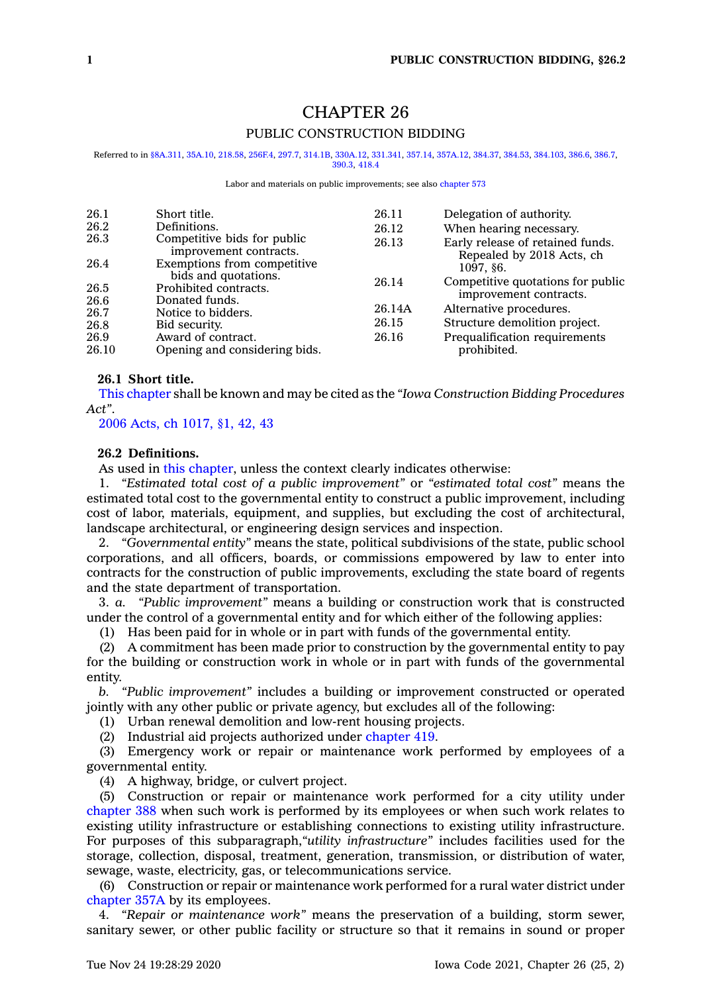# CHAPTER 26 PUBLIC CONSTRUCTION BIDDING

Referred to in [§8A.311](https://www.legis.iowa.gov/docs/code/8A.311.pdf), [35A.10](https://www.legis.iowa.gov/docs/code/35A.10.pdf), [218.58](https://www.legis.iowa.gov/docs/code/218.58.pdf), [256F.4](https://www.legis.iowa.gov/docs/code/256F.4.pdf), [297.7,](https://www.legis.iowa.gov/docs/code/297.7.pdf) [314.1B](https://www.legis.iowa.gov/docs/code/314.1B.pdf), [330A.12](https://www.legis.iowa.gov/docs/code/330A.12.pdf), [331.341](https://www.legis.iowa.gov/docs/code/331.341.pdf), [357.14](https://www.legis.iowa.gov/docs/code/357.14.pdf), [357A.12](https://www.legis.iowa.gov/docs/code/357A.12.pdf), [384.37](https://www.legis.iowa.gov/docs/code/384.37.pdf), [384.53](https://www.legis.iowa.gov/docs/code/384.53.pdf), [384.103](https://www.legis.iowa.gov/docs/code/384.103.pdf), [386.6](https://www.legis.iowa.gov/docs/code/386.6.pdf), [386.7](https://www.legis.iowa.gov/docs/code/386.7.pdf), [390.3](https://www.legis.iowa.gov/docs/code/390.3.pdf), [418.4](https://www.legis.iowa.gov/docs/code/418.4.pdf)

#### Labor and materials on public improvements; see also [chapter](https://www.legis.iowa.gov/docs/code//573.pdf) 573

| 26.1         | Short title.                                                    | 26.11  | Delegation of authority.                                      |
|--------------|-----------------------------------------------------------------|--------|---------------------------------------------------------------|
| 26.2         | Definitions.                                                    | 26.12  | When hearing necessary.                                       |
| 26.3         | Competitive bids for public<br>improvement contracts.           | 26.13  | Early release of retained funds.<br>Repealed by 2018 Acts, ch |
| 26.4         | Exemptions from competitive                                     |        | 1097. §6.                                                     |
| 26.5<br>26.6 | bids and quotations.<br>Prohibited contracts.<br>Donated funds. | 26.14  | Competitive quotations for public<br>improvement contracts.   |
| 26.7         | Notice to bidders.                                              | 26.14A | Alternative procedures.                                       |
| 26.8         | Bid security.                                                   | 26.15  | Structure demolition project.                                 |
| 26.9         | Award of contract.                                              | 26.16  | Prequalification requirements                                 |
| 26.10        | Opening and considering bids.                                   |        | prohibited.                                                   |

### **26.1 Short title.**

This [chapter](https://www.legis.iowa.gov/docs/code//26.pdf) shall be known and may be cited as the *"Iowa Construction Bidding Procedures Act"*.

2006 Acts, ch [1017,](https://www.legis.iowa.gov/docs/acts/2006/CH1017.pdf) §1, 42, 43

### **26.2 Definitions.**

As used in this [chapter](https://www.legis.iowa.gov/docs/code//26.pdf), unless the context clearly indicates otherwise:

1. *"Estimated total cost of <sup>a</sup> public improvement"* or *"estimated total cost"* means the estimated total cost to the governmental entity to construct <sup>a</sup> public improvement, including cost of labor, materials, equipment, and supplies, but excluding the cost of architectural, landscape architectural, or engineering design services and inspection.

2. *"Governmental entity"* means the state, political subdivisions of the state, public school corporations, and all officers, boards, or commissions empowered by law to enter into contracts for the construction of public improvements, excluding the state board of regents and the state department of transportation.

3. *a. "Public improvement"* means <sup>a</sup> building or construction work that is constructed under the control of <sup>a</sup> governmental entity and for which either of the following applies:

(1) Has been paid for in whole or in part with funds of the governmental entity.

(2) A commitment has been made prior to construction by the governmental entity to pay for the building or construction work in whole or in part with funds of the governmental entity.

*b. "Public improvement"* includes <sup>a</sup> building or improvement constructed or operated jointly with any other public or private agency, but excludes all of the following:

(1) Urban renewal demolition and low-rent housing projects.

(2) Industrial aid projects authorized under [chapter](https://www.legis.iowa.gov/docs/code//419.pdf) 419.

(3) Emergency work or repair or maintenance work performed by employees of <sup>a</sup> governmental entity.

(4) A highway, bridge, or culvert project.

(5) Construction or repair or maintenance work performed for <sup>a</sup> city utility under [chapter](https://www.legis.iowa.gov/docs/code//388.pdf) 388 when such work is performed by its employees or when such work relates to existing utility infrastructure or establishing connections to existing utility infrastructure. For purposes of this subparagraph,*"utility infrastructure"* includes facilities used for the storage, collection, disposal, treatment, generation, transmission, or distribution of water, sewage, waste, electricity, gas, or telecommunications service.

(6) Construction or repair or maintenance work performed for <sup>a</sup> rural water district under [chapter](https://www.legis.iowa.gov/docs/code//357A.pdf) 357A by its employees.

4. *"Repair or maintenance work"* means the preservation of <sup>a</sup> building, storm sewer, sanitary sewer, or other public facility or structure so that it remains in sound or proper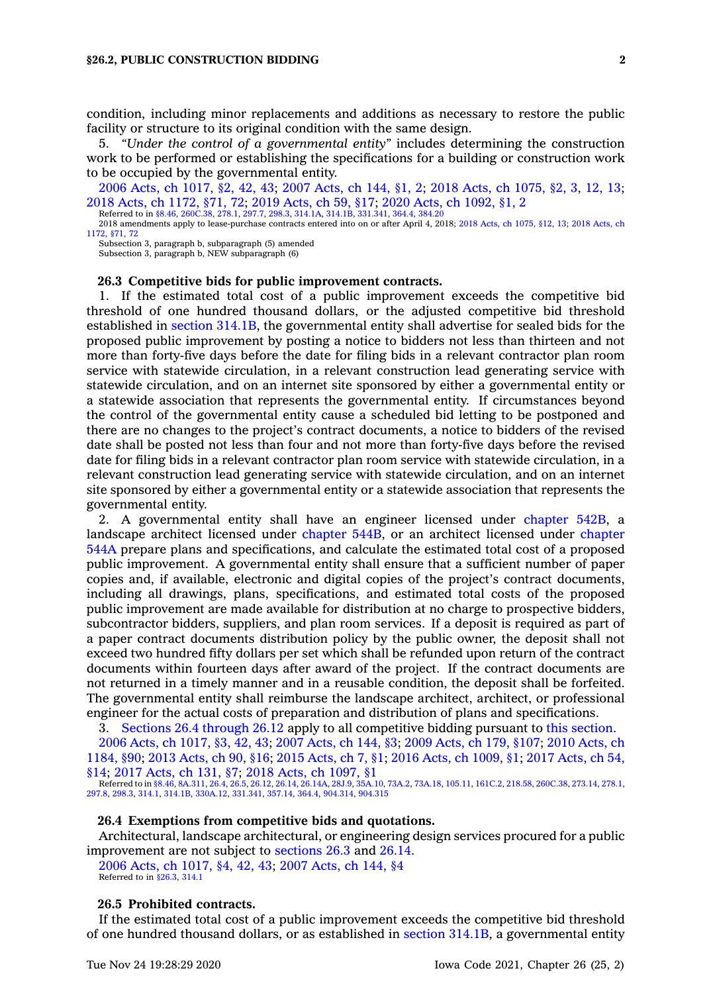condition, including minor replacements and additions as necessary to restore the public facility or structure to its original condition with the same design.

5. *"Under the control of <sup>a</sup> governmental entity"* includes determining the construction work to be performed or establishing the specifications for <sup>a</sup> building or construction work to be occupied by the governmental entity.

2006 Acts, ch [1017,](https://www.legis.iowa.gov/docs/acts/2006/CH1017.pdf) §2, 42, 43; 2007 [Acts,](https://www.legis.iowa.gov/docs/acts/2007/CH0144.pdf) ch 144, §1, 2; 2018 Acts, ch [1075,](https://www.legis.iowa.gov/docs/acts/2018/CH1075.pdf) §2, 3, 12, 13; 2018 Acts, ch [1172,](https://www.legis.iowa.gov/docs/acts/2018/CH1172.pdf) §71, 72; 2019 [Acts,](https://www.legis.iowa.gov/docs/acts/2019/CH0059.pdf) ch 59, §17; 2020 Acts, ch [1092,](https://www.legis.iowa.gov/docs/acts/2020/CH1092.pdf) §1, 2

Referred to in [§8.46](https://www.legis.iowa.gov/docs/code/8.46.pdf), [260C.38](https://www.legis.iowa.gov/docs/code/260C.38.pdf), [278.1](https://www.legis.iowa.gov/docs/code/278.1.pdf), [297.7](https://www.legis.iowa.gov/docs/code/297.7.pdf), [298.3](https://www.legis.iowa.gov/docs/code/298.3.pdf), [314.1A](https://www.legis.iowa.gov/docs/code/314.1A.pdf), [314.1B](https://www.legis.iowa.gov/docs/code/314.1B.pdf), [331.341](https://www.legis.iowa.gov/docs/code/331.341.pdf), [364.4](https://www.legis.iowa.gov/docs/code/364.4.pdf), [384.20](https://www.legis.iowa.gov/docs/code/384.20.pdf) 2018 amendments apply to lease-purchase contracts entered into on or after April 4, 2018; 2018 Acts, ch [1075,](https://www.legis.iowa.gov/docs/acts/2018/CH1075.pdf) §12, 13; 2018 [Acts,](https://www.legis.iowa.gov/docs/acts/2018/CH1172.pdf) ch

Subsection 3, paragraph b, subparagraph (5) amended Subsection 3, paragraph b, NEW subparagraph (6)

**26.3 Competitive bids for public improvement contracts.**

1. If the estimated total cost of <sup>a</sup> public improvement exceeds the competitive bid threshold of one hundred thousand dollars, or the adjusted competitive bid threshold established in section [314.1B](https://www.legis.iowa.gov/docs/code/314.1B.pdf), the governmental entity shall advertise for sealed bids for the proposed public improvement by posting <sup>a</sup> notice to bidders not less than thirteen and not more than forty-five days before the date for filing bids in <sup>a</sup> relevant contractor plan room service with statewide circulation, in <sup>a</sup> relevant construction lead generating service with statewide circulation, and on an internet site sponsored by either <sup>a</sup> governmental entity or <sup>a</sup> statewide association that represents the governmental entity. If circumstances beyond the control of the governmental entity cause <sup>a</sup> scheduled bid letting to be postponed and there are no changes to the project's contract documents, <sup>a</sup> notice to bidders of the revised date shall be posted not less than four and not more than forty-five days before the revised date for filing bids in <sup>a</sup> relevant contractor plan room service with statewide circulation, in <sup>a</sup> relevant construction lead generating service with statewide circulation, and on an internet site sponsored by either <sup>a</sup> governmental entity or <sup>a</sup> statewide association that represents the governmental entity.

2. A governmental entity shall have an engineer licensed under [chapter](https://www.legis.iowa.gov/docs/code//542B.pdf) 542B, <sup>a</sup> landscape architect licensed under [chapter](https://www.legis.iowa.gov/docs/code//544B.pdf) 544B, or an architect licensed under [chapter](https://www.legis.iowa.gov/docs/code//544A.pdf) [544A](https://www.legis.iowa.gov/docs/code//544A.pdf) prepare plans and specifications, and calculate the estimated total cost of <sup>a</sup> proposed public improvement. A governmental entity shall ensure that <sup>a</sup> sufficient number of paper copies and, if available, electronic and digital copies of the project's contract documents, including all drawings, plans, specifications, and estimated total costs of the proposed public improvement are made available for distribution at no charge to prospective bidders, subcontractor bidders, suppliers, and plan room services. If <sup>a</sup> deposit is required as part of <sup>a</sup> paper contract documents distribution policy by the public owner, the deposit shall not exceed two hundred fifty dollars per set which shall be refunded upon return of the contract documents within fourteen days after award of the project. If the contract documents are not returned in <sup>a</sup> timely manner and in <sup>a</sup> reusable condition, the deposit shall be forfeited. The governmental entity shall reimburse the landscape architect, architect, or professional engineer for the actual costs of preparation and distribution of plans and specifications.

3. Sections 26.4 [through](https://www.legis.iowa.gov/docs/code/26.4.pdf) 26.12 apply to all competitive bidding pursuant to this [section](https://www.legis.iowa.gov/docs/code/26.3.pdf). 2006 Acts, ch [1017,](https://www.legis.iowa.gov/docs/acts/2006/CH1017.pdf) §3, 42, 43; 2007 [Acts,](https://www.legis.iowa.gov/docs/acts/2007/CH0144.pdf) ch 144, §3; 2009 [Acts,](https://www.legis.iowa.gov/docs/acts/2009/CH0179.pdf) ch 179, §107; 2010 [Acts,](https://www.legis.iowa.gov/docs/acts/2010/CH1184.pdf) ch [1184,](https://www.legis.iowa.gov/docs/acts/2010/CH1184.pdf) §90; 2013 [Acts,](https://www.legis.iowa.gov/docs/acts/2013/CH0090.pdf) ch 90, §16; 2015 [Acts,](https://www.legis.iowa.gov/docs/acts/2015/CH0007.pdf) ch 7, §1; 2016 Acts, ch [1009,](https://www.legis.iowa.gov/docs/acts/2016/CH1009.pdf) §1; 2017 [Acts,](https://www.legis.iowa.gov/docs/acts/2017/CH0054.pdf) ch 54, [§14](https://www.legis.iowa.gov/docs/acts/2017/CH0054.pdf); 2017 [Acts,](https://www.legis.iowa.gov/docs/acts/2017/CH0131.pdf) ch 131, §7; 2018 Acts, ch [1097,](https://www.legis.iowa.gov/docs/acts/2018/CH1097.pdf) §1

Referred to in [§8.46](https://www.legis.iowa.gov/docs/code/8.46.pdf), [8A.311](https://www.legis.iowa.gov/docs/code/8A.311.pdf), [26.4](https://www.legis.iowa.gov/docs/code/26.4.pdf), [26.5](https://www.legis.iowa.gov/docs/code/26.5.pdf), [26.12](https://www.legis.iowa.gov/docs/code/26.12.pdf), [26.14](https://www.legis.iowa.gov/docs/code/26.14.pdf), [26.14A](https://www.legis.iowa.gov/docs/code/26.14A.pdf), [28J.9](https://www.legis.iowa.gov/docs/code/28J.9.pdf), [35A.10,](https://www.legis.iowa.gov/docs/code/35A.10.pdf) [73A.2](https://www.legis.iowa.gov/docs/code/73A.2.pdf), [73A.18](https://www.legis.iowa.gov/docs/code/73A.18.pdf), [105.11](https://www.legis.iowa.gov/docs/code/105.11.pdf), [161C.2](https://www.legis.iowa.gov/docs/code/161C.2.pdf), [218.58](https://www.legis.iowa.gov/docs/code/218.58.pdf), [260C.38](https://www.legis.iowa.gov/docs/code/260C.38.pdf), [273.14](https://www.legis.iowa.gov/docs/code/273.14.pdf), [278.1](https://www.legis.iowa.gov/docs/code/278.1.pdf), [297.8](https://www.legis.iowa.gov/docs/code/297.8.pdf), [298.3](https://www.legis.iowa.gov/docs/code/298.3.pdf), [314.1](https://www.legis.iowa.gov/docs/code/314.1.pdf), [314.1B](https://www.legis.iowa.gov/docs/code/314.1B.pdf), [330A.12](https://www.legis.iowa.gov/docs/code/330A.12.pdf), [331.341](https://www.legis.iowa.gov/docs/code/331.341.pdf), [357.14](https://www.legis.iowa.gov/docs/code/357.14.pdf), [364.4](https://www.legis.iowa.gov/docs/code/364.4.pdf), [904.314](https://www.legis.iowa.gov/docs/code/904.314.pdf), [904.315](https://www.legis.iowa.gov/docs/code/904.315.pdf)

#### **26.4 Exemptions from competitive bids and quotations.**

Architectural, landscape architectural, or engineering design services procured for <sup>a</sup> public improvement are not subject to [sections](https://www.legis.iowa.gov/docs/code/26.3.pdf) 26.3 and [26.14](https://www.legis.iowa.gov/docs/code/26.14.pdf).

2006 Acts, ch [1017,](https://www.legis.iowa.gov/docs/acts/2006/CH1017.pdf) §4, 42, 43; 2007 [Acts,](https://www.legis.iowa.gov/docs/acts/2007/CH0144.pdf) ch 144, §4 Referred to in [§26.3](https://www.legis.iowa.gov/docs/code/26.3.pdf), [314.1](https://www.legis.iowa.gov/docs/code/314.1.pdf)

### **26.5 Prohibited contracts.**

If the estimated total cost of <sup>a</sup> public improvement exceeds the competitive bid threshold of one hundred thousand dollars, or as established in section [314.1B](https://www.legis.iowa.gov/docs/code/314.1B.pdf), <sup>a</sup> governmental entity

[<sup>1172,</sup>](https://www.legis.iowa.gov/docs/acts/2018/CH1172.pdf) §71, 72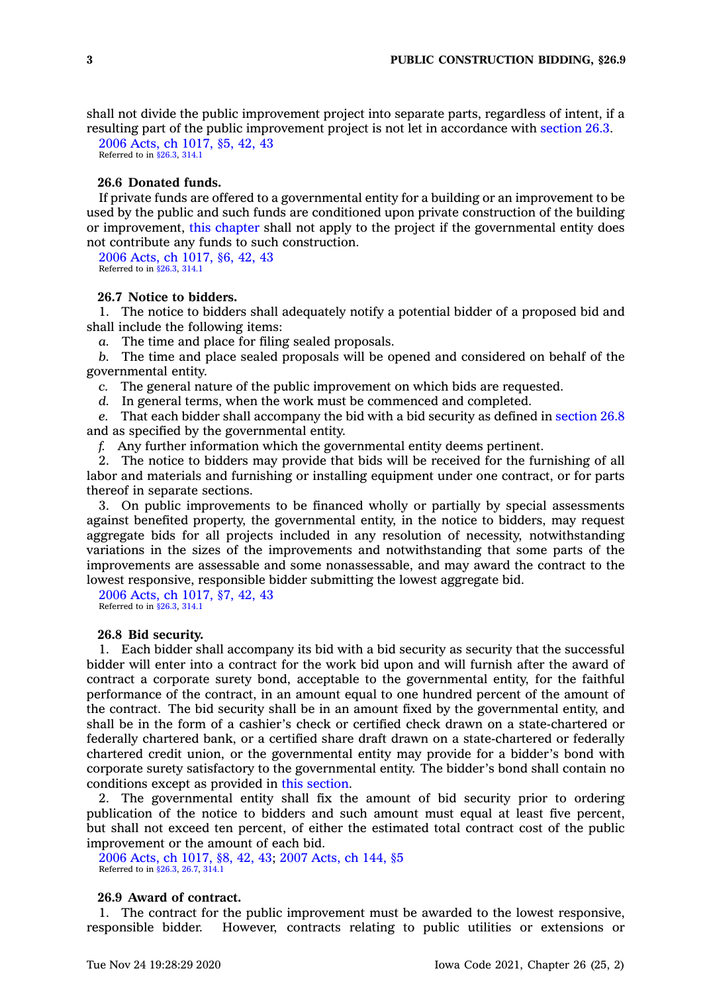shall not divide the public improvement project into separate parts, regardless of intent, if <sup>a</sup> resulting part of the public improvement project is not let in accordance with [section](https://www.legis.iowa.gov/docs/code/26.3.pdf) 26.3.

2006 Acts, ch [1017,](https://www.legis.iowa.gov/docs/acts/2006/CH1017.pdf) §5, 42, 43 Referred to in [§26.3](https://www.legis.iowa.gov/docs/code/26.3.pdf), [314.1](https://www.legis.iowa.gov/docs/code/314.1.pdf)

### **26.6 Donated funds.**

If private funds are offered to <sup>a</sup> governmental entity for <sup>a</sup> building or an improvement to be used by the public and such funds are conditioned upon private construction of the building or improvement, this [chapter](https://www.legis.iowa.gov/docs/code//26.pdf) shall not apply to the project if the governmental entity does not contribute any funds to such construction.

2006 Acts, ch [1017,](https://www.legis.iowa.gov/docs/acts/2006/CH1017.pdf) §6, 42, 43 Referred to in [§26.3](https://www.legis.iowa.gov/docs/code/26.3.pdf), [314.1](https://www.legis.iowa.gov/docs/code/314.1.pdf)

## **26.7 Notice to bidders.**

1. The notice to bidders shall adequately notify <sup>a</sup> potential bidder of <sup>a</sup> proposed bid and shall include the following items:

*a.* The time and place for filing sealed proposals.

*b.* The time and place sealed proposals will be opened and considered on behalf of the governmental entity.

*c.* The general nature of the public improvement on which bids are requested.

*d.* In general terms, when the work must be commenced and completed.

*e.* That each bidder shall accompany the bid with <sup>a</sup> bid security as defined in [section](https://www.legis.iowa.gov/docs/code/26.8.pdf) 26.8 and as specified by the governmental entity.

*f.* Any further information which the governmental entity deems pertinent.

2. The notice to bidders may provide that bids will be received for the furnishing of all labor and materials and furnishing or installing equipment under one contract, or for parts thereof in separate sections.

3. On public improvements to be financed wholly or partially by special assessments against benefited property, the governmental entity, in the notice to bidders, may request aggregate bids for all projects included in any resolution of necessity, notwithstanding variations in the sizes of the improvements and notwithstanding that some parts of the improvements are assessable and some nonassessable, and may award the contract to the lowest responsive, responsible bidder submitting the lowest aggregate bid.

2006 Acts, ch [1017,](https://www.legis.iowa.gov/docs/acts/2006/CH1017.pdf) §7, 42, 43 Referred to in [§26.3](https://www.legis.iowa.gov/docs/code/26.3.pdf), [314.1](https://www.legis.iowa.gov/docs/code/314.1.pdf)

### **26.8 Bid security.**

1. Each bidder shall accompany its bid with <sup>a</sup> bid security as security that the successful bidder will enter into <sup>a</sup> contract for the work bid upon and will furnish after the award of contract <sup>a</sup> corporate surety bond, acceptable to the governmental entity, for the faithful performance of the contract, in an amount equal to one hundred percent of the amount of the contract. The bid security shall be in an amount fixed by the governmental entity, and shall be in the form of <sup>a</sup> cashier's check or certified check drawn on <sup>a</sup> state-chartered or federally chartered bank, or <sup>a</sup> certified share draft drawn on <sup>a</sup> state-chartered or federally chartered credit union, or the governmental entity may provide for <sup>a</sup> bidder's bond with corporate surety satisfactory to the governmental entity. The bidder's bond shall contain no conditions except as provided in this [section](https://www.legis.iowa.gov/docs/code/26.8.pdf).

2. The governmental entity shall fix the amount of bid security prior to ordering publication of the notice to bidders and such amount must equal at least five percent, but shall not exceed ten percent, of either the estimated total contract cost of the public improvement or the amount of each bid.

2006 Acts, ch [1017,](https://www.legis.iowa.gov/docs/acts/2006/CH1017.pdf) §8, 42, 43; 2007 [Acts,](https://www.legis.iowa.gov/docs/acts/2007/CH0144.pdf) ch 144, §5 Referred to in [§26.3](https://www.legis.iowa.gov/docs/code/26.3.pdf), [26.7,](https://www.legis.iowa.gov/docs/code/26.7.pdf) [314.1](https://www.legis.iowa.gov/docs/code/314.1.pdf)

### **26.9 Award of contract.**

1. The contract for the public improvement must be awarded to the lowest responsive, responsible bidder. However, contracts relating to public utilities or extensions or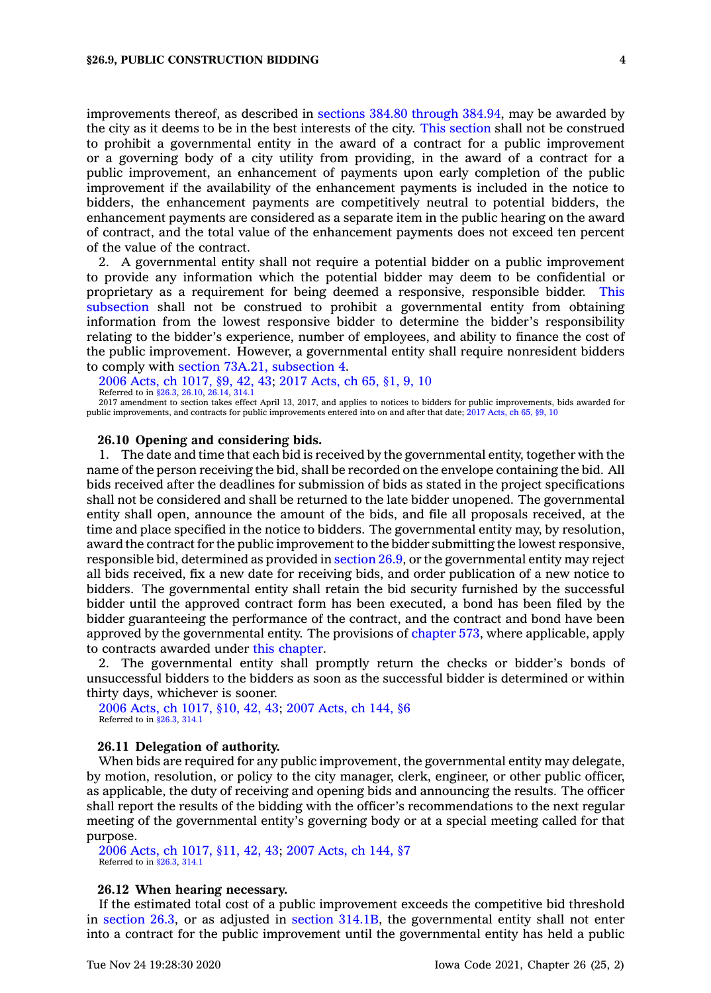improvements thereof, as described in sections 384.80 [through](https://www.legis.iowa.gov/docs/code/384.80.pdf) 384.94, may be awarded by the city as it deems to be in the best interests of the city. This [section](https://www.legis.iowa.gov/docs/code/26.9.pdf) shall not be construed to prohibit <sup>a</sup> governmental entity in the award of <sup>a</sup> contract for <sup>a</sup> public improvement or <sup>a</sup> governing body of <sup>a</sup> city utility from providing, in the award of <sup>a</sup> contract for <sup>a</sup> public improvement, an enhancement of payments upon early completion of the public improvement if the availability of the enhancement payments is included in the notice to bidders, the enhancement payments are competitively neutral to potential bidders, the enhancement payments are considered as <sup>a</sup> separate item in the public hearing on the award of contract, and the total value of the enhancement payments does not exceed ten percent of the value of the contract.

2. A governmental entity shall not require <sup>a</sup> potential bidder on <sup>a</sup> public improvement to provide any information which the potential bidder may deem to be confidential or proprietary as <sup>a</sup> requirement for being deemed <sup>a</sup> responsive, responsible bidder. [This](https://www.legis.iowa.gov/docs/code/26.9.pdf) [subsection](https://www.legis.iowa.gov/docs/code/26.9.pdf) shall not be construed to prohibit <sup>a</sup> governmental entity from obtaining information from the lowest responsive bidder to determine the bidder's responsibility relating to the bidder's experience, number of employees, and ability to finance the cost of the public improvement. However, <sup>a</sup> governmental entity shall require nonresident bidders to comply with section 73A.21, [subsection](https://www.legis.iowa.gov/docs/code/73A.21.pdf) 4.

2006 Acts, ch [1017,](https://www.legis.iowa.gov/docs/acts/2006/CH1017.pdf) §9, 42, 43; 2017 [Acts,](https://www.legis.iowa.gov/docs/acts/2017/CH0065.pdf) ch 65, §1, 9, 10 Referred to in [§26.3](https://www.legis.iowa.gov/docs/code/26.3.pdf), [26.10](https://www.legis.iowa.gov/docs/code/26.10.pdf), [26.14](https://www.legis.iowa.gov/docs/code/26.14.pdf), [314.1](https://www.legis.iowa.gov/docs/code/314.1.pdf)

2017 amendment to section takes effect April 13, 2017, and applies to notices to bidders for public improvements, bids awarded for public improvements, and contracts for public improvements entered into on and after that date; 2017 [Acts,](https://www.legis.iowa.gov/docs/acts/2017/CH65.pdf) ch 65, §9, 10

#### **26.10 Opening and considering bids.**

1. The date and time that each bid is received by the governmental entity, together with the name of the person receiving the bid, shall be recorded on the envelope containing the bid. All bids received after the deadlines for submission of bids as stated in the project specifications shall not be considered and shall be returned to the late bidder unopened. The governmental entity shall open, announce the amount of the bids, and file all proposals received, at the time and place specified in the notice to bidders. The governmental entity may, by resolution, award the contract for the public improvement to the bidder submitting the lowest responsive, responsible bid, determined as provided in [section](https://www.legis.iowa.gov/docs/code/26.9.pdf) 26.9, or the governmental entity may reject all bids received, fix <sup>a</sup> new date for receiving bids, and order publication of <sup>a</sup> new notice to bidders. The governmental entity shall retain the bid security furnished by the successful bidder until the approved contract form has been executed, <sup>a</sup> bond has been filed by the bidder guaranteeing the performance of the contract, and the contract and bond have been approved by the governmental entity. The provisions of [chapter](https://www.legis.iowa.gov/docs/code//573.pdf) 573, where applicable, apply to contracts awarded under this [chapter](https://www.legis.iowa.gov/docs/code//26.pdf).

2. The governmental entity shall promptly return the checks or bidder's bonds of unsuccessful bidders to the bidders as soon as the successful bidder is determined or within thirty days, whichever is sooner.

2006 Acts, ch [1017,](https://www.legis.iowa.gov/docs/acts/2006/CH1017.pdf) §10, 42, 43; 2007 [Acts,](https://www.legis.iowa.gov/docs/acts/2007/CH0144.pdf) ch 144, §6 Referred to in [§26.3](https://www.legis.iowa.gov/docs/code/26.3.pdf), [314.1](https://www.legis.iowa.gov/docs/code/314.1.pdf)

#### **26.11 Delegation of authority.**

When bids are required for any public improvement, the governmental entity may delegate, by motion, resolution, or policy to the city manager, clerk, engineer, or other public officer, as applicable, the duty of receiving and opening bids and announcing the results. The officer shall report the results of the bidding with the officer's recommendations to the next regular meeting of the governmental entity's governing body or at <sup>a</sup> special meeting called for that purpose.

2006 Acts, ch [1017,](https://www.legis.iowa.gov/docs/acts/2006/CH1017.pdf) §11, 42, 43; 2007 [Acts,](https://www.legis.iowa.gov/docs/acts/2007/CH0144.pdf) ch 144, §7 Referred to in [§26.3](https://www.legis.iowa.gov/docs/code/26.3.pdf), [314.1](https://www.legis.iowa.gov/docs/code/314.1.pdf)

#### **26.12 When hearing necessary.**

If the estimated total cost of <sup>a</sup> public improvement exceeds the competitive bid threshold in [section](https://www.legis.iowa.gov/docs/code/26.3.pdf) 26.3, or as adjusted in section [314.1B](https://www.legis.iowa.gov/docs/code/314.1B.pdf), the governmental entity shall not enter into <sup>a</sup> contract for the public improvement until the governmental entity has held <sup>a</sup> public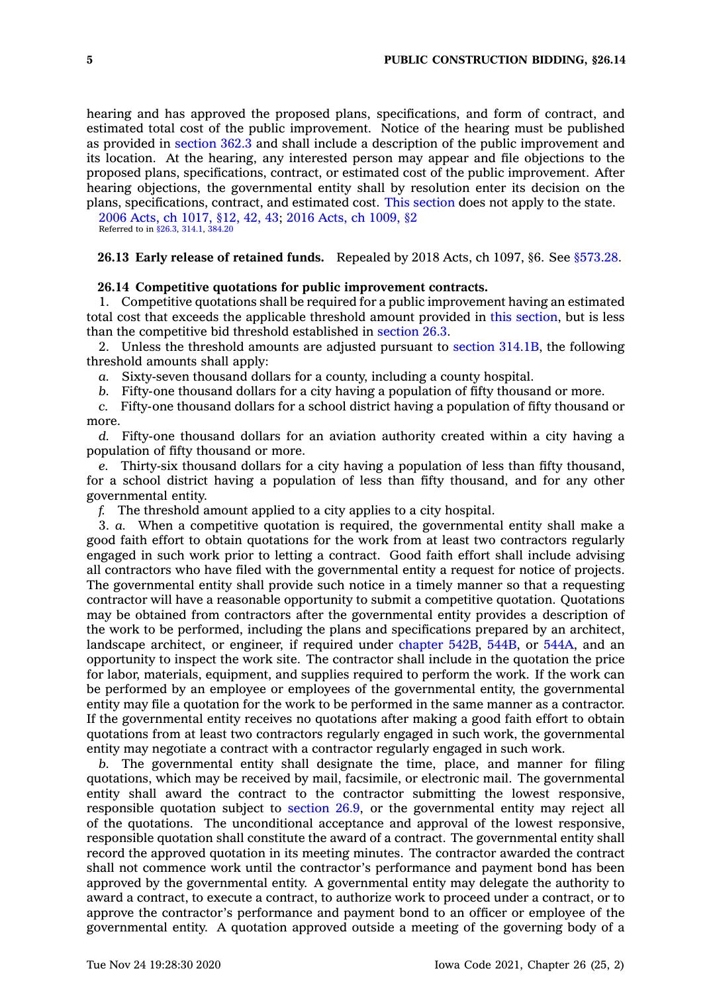hearing and has approved the proposed plans, specifications, and form of contract, and estimated total cost of the public improvement. Notice of the hearing must be published as provided in [section](https://www.legis.iowa.gov/docs/code/362.3.pdf) 362.3 and shall include <sup>a</sup> description of the public improvement and its location. At the hearing, any interested person may appear and file objections to the proposed plans, specifications, contract, or estimated cost of the public improvement. After hearing objections, the governmental entity shall by resolution enter its decision on the plans, specifications, contract, and estimated cost. This [section](https://www.legis.iowa.gov/docs/code/26.12.pdf) does not apply to the state.

2006 Acts, ch [1017,](https://www.legis.iowa.gov/docs/acts/2006/CH1017.pdf) §12, 42, 43; 2016 Acts, ch [1009,](https://www.legis.iowa.gov/docs/acts/2016/CH1009.pdf) §2 Referred to in [§26.3](https://www.legis.iowa.gov/docs/code/26.3.pdf), [314.1](https://www.legis.iowa.gov/docs/code/314.1.pdf), [384.20](https://www.legis.iowa.gov/docs/code/384.20.pdf)

### **26.13 Early release of retained funds.** Repealed by 2018 Acts, ch 1097, §6. See [§573.28](https://www.legis.iowa.gov/docs/code/573.28.pdf).

#### **26.14 Competitive quotations for public improvement contracts.**

1. Competitive quotations shall be required for <sup>a</sup> public improvement having an estimated total cost that exceeds the applicable threshold amount provided in this [section](https://www.legis.iowa.gov/docs/code/26.14.pdf), but is less than the competitive bid threshold established in [section](https://www.legis.iowa.gov/docs/code/26.3.pdf) 26.3.

2. Unless the threshold amounts are adjusted pursuant to section [314.1B](https://www.legis.iowa.gov/docs/code/314.1B.pdf), the following threshold amounts shall apply:

*a.* Sixty-seven thousand dollars for <sup>a</sup> county, including <sup>a</sup> county hospital.

*b.* Fifty-one thousand dollars for <sup>a</sup> city having <sup>a</sup> population of fifty thousand or more.

*c.* Fifty-one thousand dollars for <sup>a</sup> school district having <sup>a</sup> population of fifty thousand or more.

*d.* Fifty-one thousand dollars for an aviation authority created within <sup>a</sup> city having <sup>a</sup> population of fifty thousand or more.

*e.* Thirty-six thousand dollars for <sup>a</sup> city having <sup>a</sup> population of less than fifty thousand, for <sup>a</sup> school district having <sup>a</sup> population of less than fifty thousand, and for any other governmental entity.

*f.* The threshold amount applied to <sup>a</sup> city applies to <sup>a</sup> city hospital.

3. *a.* When <sup>a</sup> competitive quotation is required, the governmental entity shall make <sup>a</sup> good faith effort to obtain quotations for the work from at least two contractors regularly engaged in such work prior to letting <sup>a</sup> contract. Good faith effort shall include advising all contractors who have filed with the governmental entity <sup>a</sup> request for notice of projects. The governmental entity shall provide such notice in <sup>a</sup> timely manner so that <sup>a</sup> requesting contractor will have <sup>a</sup> reasonable opportunity to submit <sup>a</sup> competitive quotation. Quotations may be obtained from contractors after the governmental entity provides <sup>a</sup> description of the work to be performed, including the plans and specifications prepared by an architect, landscape architect, or engineer, if required under [chapter](https://www.legis.iowa.gov/docs/code//542B.pdf) 542B, [544B](https://www.legis.iowa.gov/docs/code//544B.pdf), or [544A](https://www.legis.iowa.gov/docs/code//544A.pdf), and an opportunity to inspect the work site. The contractor shall include in the quotation the price for labor, materials, equipment, and supplies required to perform the work. If the work can be performed by an employee or employees of the governmental entity, the governmental entity may file <sup>a</sup> quotation for the work to be performed in the same manner as <sup>a</sup> contractor. If the governmental entity receives no quotations after making <sup>a</sup> good faith effort to obtain quotations from at least two contractors regularly engaged in such work, the governmental entity may negotiate <sup>a</sup> contract with <sup>a</sup> contractor regularly engaged in such work.

*b.* The governmental entity shall designate the time, place, and manner for filing quotations, which may be received by mail, facsimile, or electronic mail. The governmental entity shall award the contract to the contractor submitting the lowest responsive, responsible quotation subject to [section](https://www.legis.iowa.gov/docs/code/26.9.pdf) 26.9, or the governmental entity may reject all of the quotations. The unconditional acceptance and approval of the lowest responsive, responsible quotation shall constitute the award of <sup>a</sup> contract. The governmental entity shall record the approved quotation in its meeting minutes. The contractor awarded the contract shall not commence work until the contractor's performance and payment bond has been approved by the governmental entity. A governmental entity may delegate the authority to award <sup>a</sup> contract, to execute <sup>a</sup> contract, to authorize work to proceed under <sup>a</sup> contract, or to approve the contractor's performance and payment bond to an officer or employee of the governmental entity. A quotation approved outside <sup>a</sup> meeting of the governing body of <sup>a</sup>